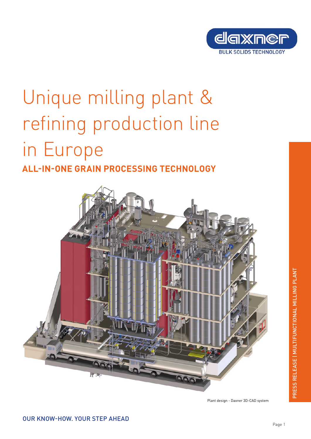

# Unique milling plant & refining production line in Europe

# **ALL-IN-ONE GRAIN PROCESSING TECHNOLOGY**



Plant design - Daxner 3D-CAD system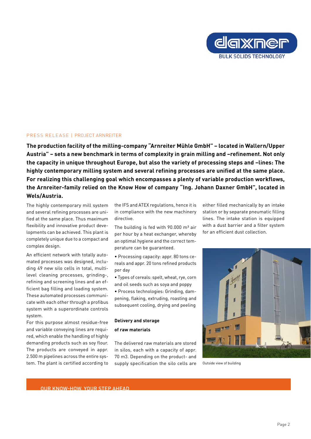

# PRESS RELEASE | PROJECT ARNREITER

**The production facility of the milling-company "Arnreiter Mühle GmbH" – located in Wallern/Upper Austria" – sets a new benchmark in terms of complexity in grain milling and –refinement. Not only the capacity in unique throughout Europe, but also the variety of processing steps and –lines: The highly contemporary milling system and several refining processes are unified at the same place. For realizing this challenging goal which encompasses a plenty of variable production workflows, the Arnreiter-family relied on the Know How of company "Ing. Johann Daxner GmbH", located in Wels/Austria.** 

The highly contemporary mill system and several refining processes are unified at the same place. Thus maximum flexibility and innovative product developments can be achieved. This plant is completely unique due to a compact and complex design.

An efficient network with totally automated processes was designed, including 49 new silo cells in total, multilevel cleaning processes, grinding-, refining and screening lines and an efficient bag filling and loading system. These automated processes communicate with each other through a profibus system with a superordinate controls system.

For this purpose almost residue-free and variable conveying lines are required, which enable the handling of highly demanding products such as soy flour. The products are conveyed in appr. 2.500 m pipelines across the entire system. The plant is certified according to

the IFS and ATEX regulations, hence it is in compliance with the new machinery directive.

The building is fed with  $90.000$  m<sup>3</sup> air per hour by a heat exchanger, whereby an optimal hygiene and the correct temperature can be guaranteed.

• Processing capacity: appr. 80 tons cereals and appr. 20 tons refined products per day

• Types of cereals: spelt, wheat, rye, corn and oil seeds such as soya and poppy

• Process technologies: Grinding, dampening, flaking, extruding, roasting and subsequent cooling, drying and peeling

## **Delivery and storage of raw materials**

The delivered raw materials are stored in silos, each with a capacity of appr. 70 m3. Depending on the product- and supply specification the silo cells are

either filled mechanically by an intake station or by separate pneumatic filling lines. The intake station is equipped with a dust barrier and a filter system for an efficient dust collection.



Outside view of building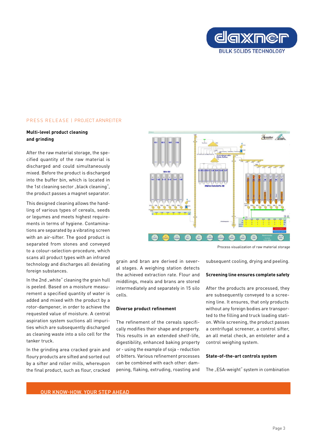

# PRESS RELEASE | PROJECT ARNREITER

### **Multi-level product cleaning and grinding**

After the raw material storage, the specified quantity of the raw material is discharged and could simultaneously mixed. Before the product is discharged into the buffer bin, which is located in the 1st cleaning sector "black cleaning", the product passes a magnet separator.

This designed cleaning allows the handling of various types of cereals, seeds or legumes and meets highest requirements in terms of hygiene. Contaminations are separated by a vibrating screen with an air-sifter. The good product is separated from stones and conveyed to a colour-selection-procedure, which scans all product types with an infrared technology and discharges all deviating foreign substances.

In the 2nd "white" cleaning the grain hull is peeled. Based on a moisture measurement a specified quantity of water is added and mixed with the product by a rotor-dampener, in order to achieve the requested value of moisture. A central aspiration system suctions all impurities which are subsequently discharged as cleaning waste into a silo cell for the tanker truck.

In the grinding area cracked grain and floury products are sifted and sorted out by a sifter and roller mills, whereupon the final product, such as flour, cracked



grain and bran are derived in several stages. A weighing station detects the achieved extraction rate. Flour and middlings, meals and brans are stored intermediately and separately in 15 silo

The refinement of the cereals specifically modifies their shape and property. This results in an extended shelf-life, digestibility, enhanced baking property or - using the example of soja - reduction of bitters. Various refinement processes can be combined with each other: dampening, flaking, extruding, roasting and

**Diverse product refinement**

cells.

Process visualization of raw material storage

subsequent cooling, drying and peeling.

#### **Screening line ensures complete safety**

After the products are processed, they are subsequently conveyed to a screening line. It ensures, that only products without any foreign bodies are transported to the filling and truck loading station. While screening, the product passes a centrifugal screener, a control sifter, an all metal check, an entoleter and a control weighing system.

#### **State-of-the-art controls system**

The "ESA-weight" system in combination